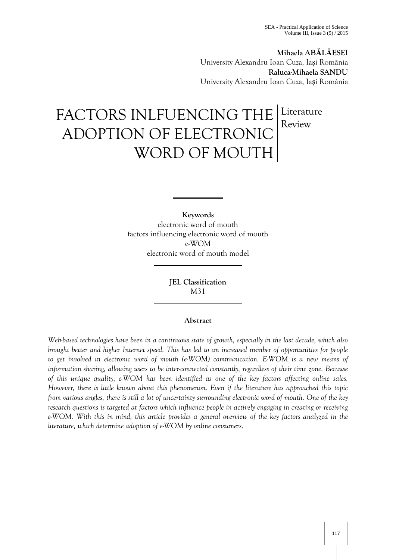**Mihaela ABĂLĂESEI** University Alexandru Ioan Cuza, Iași România **Raluca-Mihaela SANDU** University Alexandru Ioan Cuza, Iași România

# FACTORS INLFUENCING THE ADOPTION OF ELECTRONIC WORD OF MOUTH Literature Review

**Keywords** electronic word of mouth factors influencing electronic word of mouth e-WOM electronic word of mouth model

> **JEL Classification**  M31

## **Abstract**

*Web-based technologies have been in a continuous state of growth, especially in the last decade, which also brought better and higher Internet speed. This has led to an increased number of opportunities for people to get involved in electronic word of mouth (e-WOM) communication. E-WOM is a new means of information sharing, allowing users to be inter-connected constantly, regardless of their time zone. Because of this unique quality, e-WOM has been identified as one of the key factors affecting online sales. However, there is little known about this phenomenon. Even if the literature has approached this topic from various angles, there is still a lot of uncertainty surrounding electronic word of mouth. One of the key research questions is targeted at factors which influence people in actively engaging in creating or receiving e-WOM. With this in mind, this article provides a general overview of the key factors analyzed in the literature, which determine adoption of e-WOM by online consumers*.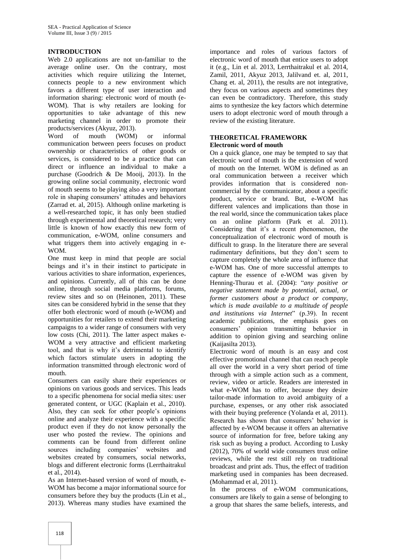## **INTRODUCTION**

Web 2.0 applications are not un-familiar to the average online user. On the contrary, most activities which require utilizing the Internet, connects people to a new environment which favors a different type of user interaction and information sharing: electronic word of mouth (e-WOM). That is why retailers are looking for opportunities to take advantage of this new marketing channel in order to promote their products/services (Akyuz, 2013).

Word of mouth (WOM) or informal communication between peers focuses on product ownership or characteristics of other goods or services, is considered to be a practice that can direct or influence an individual to make a purchase (Goodrich & De Mooij, 2013). In the growing online social community, electronic word of mouth seems to be playing also a very important role in shaping consumers' attitudes and behaviors (Zarrad et. al, 2015). Although online marketing is a well-researched topic, it has only been studied through experimental and theoretical research; very little is known of how exactly this new form of communication, e-WOM, online consumers and what triggers them into actively engaging in e-WOM.

One must keep in mind that people are social beings and it's in their instinct to participate in various activities to share information, experiences, and opinions. Currently, all of this can be done online, through social media platforms, forums, review sites and so on (Heinonen, 2011). These sites can be considered hybrid in the sense that they offer both electronic word of mouth (e-WOM) and opportunities for retailers to extend their marketing campaigns to a wider range of consumers with very low costs (Chi, 2011). The latter aspect makes e-WOM a very attractive and efficient marketing tool, and that is why it's detrimental to identify which factors stimulate users in adopting the information transmitted through electronic word of mouth.

Consumers can easily share their experiences or opinions on various goods and services. This leads to a specific phenomena for social media sites: user generated content, or UGC (Kaplain et al., 2010). Also, they can seek for other people's opinions online and analyze their experience with a specific product even if they do not know personally the user who posted the review. The opinions and comments can be found from different online sources including companies' websites and websites created by consumers, social networks, blogs and different electronic forms (Lerrthaitrakul et al., 2014).

As an Internet-based version of word of mouth, e-WOM has become a major informational source for consumers before they buy the products (Lin et al., 2013). Whereas many studies have examined the

importance and roles of various factors of electronic word of mouth that entice users to adopt it (e.g., Lin et al. 2013, Lerrthaitrakul et al. 2014, Zamil, 2011, Akyuz 2013, Jalilvand et. al, 2011, Chang et. al, 2011), the results are not integrative, they focus on various aspects and sometimes they can even be contradictory. Therefore, this study aims to synthesize the key factors which determine users to adopt electronic word of mouth through a review of the existing literature.

#### **THEORETICAL FRAMEWORK Electronic word of mouth**

On a quick glance, one may be tempted to say that electronic word of mouth is the extension of word of mouth on the Internet. WOM is defined as an oral communication between a receiver which provides information that is considered noncommercial by the communicator, about a specific product, service or brand. But, e-WOM has different valences and implications than those in the real world, since the communication takes place on an online platform (Park et al. 2011). Considering that it's a recent phenomenon, the conceptualization of electronic word of mouth is difficult to grasp. In the literature there are several rudimentary definitions, but they don't seem to capture completely the whole area of influence that e-WOM has. One of more successful attempts to capture the essence of e-WOM was given by Henning-Thurau et al. (2004): "*any positive or negative statement made by potential, actual, or former customers about a product or company, which is made available to a multitude of people and institutions via Internet*" (p.39). In recent academic publications, the emphasis goes on consumers' opinion transmitting behavior in addition to opinion giving and searching online (Kaijasilta 2013).

Electronic word of mouth is an easy and cost effective promotional channel that can reach people all over the world in a very short period of time through with a simple action such as a comment, review, video or article. Readers are interested in what e-WOM has to offer, because they desire tailor-made information to avoid ambiguity of a purchase, expenses, or any other risk associated with their buying preference (Yolanda et al, 2011). Research has shown that consumers' behavior is affected by e-WOM because it offers an alternative source of information for free, before taking any risk such as buying a product. According to Lusky (2012), 70% of world wide consumers trust online reviews, while the rest still rely on traditional broadcast and print ads. Thus, the effect of tradition marketing used in companies has been decreased. (Mohammad et al, 2011).

In the process of e-WOM communications, consumers are likely to gain a sense of belonging to a group that shares the same beliefs, interests, and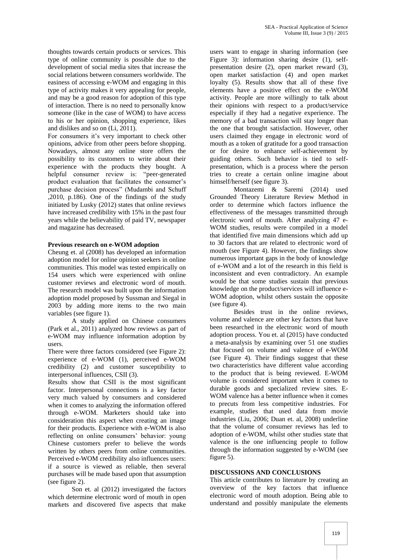thoughts towards certain products or services. This type of online community is possible due to the development of social media sites that increase the social relations between consumers worldwide. The easiness of accessing e-WOM and engaging in this type of activity makes it very appealing for people, and may be a good reason for adoption of this type of interaction. There is no need to personally know someone (like in the case of WOM) to have access to his or her opinion, shopping experience, likes and dislikes and so on (Li, 2011).

For consumers it's very important to check other opinions, advice from other peers before shopping. Nowadays, almost any online store offers the possibility to its customers to write about their experience with the products they bought. A helpful consumer review is: "peer-generated product evaluation that facilitates the consumer's purchase decision process" (Mudambi and Schuff ,2010, p.186). One of the findings of the study initiated by Lusky (2012) states that online reviews have increased credibility with 15% in the past four years while the believability of paid TV, newspaper and magazine has decreased.

#### **Previous research on e-WOM adoption**

Cheung et. al (2008) has developed an information adoption model for online opinion seekers in online communities. This model was tested empirically on 154 users which were experienced with online customer reviews and electronic word of mouth. The research model was built upon the information adoption model proposed by Sussman and Siegal in 2003 by adding more items to the two main variables (see figure 1).

A study applied on Chinese consumers (Park et al., 2011) analyzed how reviews as part of e-WOM may influence information adoption by users.

There were three factors considered (see Figure 2): experience of e-WOM (1), perceived e-WOM credibility (2) and customer susceptibility to interpersonal influences, CSII (3).

Results show that CSII is the most significant factor. Interpersonal connections is a key factor very much valued by consumers and considered when it comes to analyzing the information offered through e-WOM. Marketers should take into consideration this aspect when creating an image for their products. Experience with e-WOM is also reflecting on online consumers' behavior: young Chinese customers prefer to believe the words written by others peers from online communities. Perceived e-WOM credibility also influences users: if a source is viewed as reliable, then several purchases will be made based upon that assumption (see figure 2).

Son et. al (2012) investigated the factors which determine electronic word of mouth in open markets and discovered five aspects that make

users want to engage in sharing information (see Figure 3): information sharing desire (1), selfpresentation desire (2), open market reward (3), open market satisfaction (4) and open market loyalty (5). Results show that all of these five elements have a positive effect on the e-WOM activity. People are more willingly to talk about their opinions with respect to a product/service especially if they had a negative experience. The memory of a bad transaction will stay longer than the one that brought satisfaction. However, other users claimed they engage in electronic word of mouth as a token of gratitude for a good transaction or for desire to enhance self-achievement by guiding others. Such behavior is tied to selfpresentation, which is a process where the person tries to create a certain online imagine about himself/herself (see figure 3).

Montazemi & Saremi (2014) used Grounded Theory Literature Review Method in order to determine which factors influence the effectiveness of the messages transmitted through electronic word of mouth. After analyzing 47 e-WOM studies, results were compiled in a model that identified five main dimensions which add up to 30 factors that are related to electronic word of mouth (see Figure 4). However, the findings show numerous important gaps in the body of knowledge of e-WOM and a lot of the research in this field is inconsistent and even contradictory. An example would be that some studies sustain that previous knowledge on the product/services will influence e-WOM adoption, whilst others sustain the opposite (see figure 4).

Besides trust in the online reviews, volume and valence are other key factors that have been researched in the electronic word of mouth adoption process. You et. al (2015) have conducted a meta-analysis by examining over 51 one studies that focused on volume and valence of e-WOM (see Figure 4). Their findings suggest that these two characteristics have different value according to the product that is being reviewed. E-WOM volume is considered important when it comes to durable goods and specialized review sites. E-WOM valence has a better influence when it comes to precuts from less competitive industries. For example, studies that used data from movie industries (Liu, 2006; Duan et. al, 2008) underline that the volume of consumer reviews has led to adoption of e-WOM, whilst other studies state that valence is the one influencing people to follow through the information suggested by e-WOM (see figure 5).

#### **DISCUSSIONS AND CONCLUSIONS**

This article contributes to literature by creating an overview of the key factors that influence electronic word of mouth adoption. Being able to understand and possibly manipulate the elements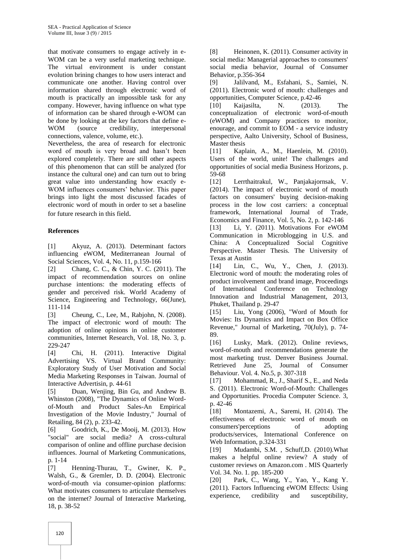that motivate consumers to engage actively in e-WOM can be a very useful marketing technique. The virtual environment is under constant evolution brining changes to how users interact and communicate one another. Having control over information shared through electronic word of mouth is practically an impossible task for any company. However, having influence on what type of information can be shared through e-WOM can be done by looking at the key factors that define e-WOM (source credibility, interpersonal connections, valence, volume, etc.).

Nevertheless, the area of research for electronic word of mouth is very broad and hasn't been explored completely. There are still other aspects of this phenomenon that can still be analyzed (for instance the cultural one) and can turn out to bring great value into understanding how exactly e-WOM influences consumers' behavior. This paper brings into light the most discussed facades of electronic word of mouth in order to set a baseline for future research in this field.

# **References**

[1] Akyuz, A. (2013). Determinant factors influencing eWOM, Mediterranean Journal of Social Sciences, Vol. 4, No. 11, p.159-166

[2] Chang, C. C., & Chin, Y. C. (2011). The impact of recommendation sources on online purchase intentions: the moderating effects of gender and perceived risk. World Academy of Science, Engineering and Technology, 66(June), 111-114

[3] Cheung, C., Lee, M., Rabjohn, N. (2008). The impact of electronic word of mouth: The adoption of online opinions in online customer communities, Internet Research, Vol. 18, No. 3, p. 229-247

[4] Chi, H. (2011). Interactive Digital Advertising VS. Virtual Brand Community: Exploratory Study of User Motivation and Social Media Marketing Responses in Taiwan. Journal of Interactive Advertisin, p. 44-61

[5] Duan, Wenjing, Bin Gu, and Andrew B. Whinston (2008), "The Dynamics of Online Wordof-Mouth and Product Sales-An Empirical Investigation of the Movie Industry," Journal of Retailing, 84 (2), p. 233-42.

[6] Goodrich, K., De Mooij, M. (2013). How "social" are social media? A cross-cultural comparison of online and offline purchase decision influences. Journal of Marketing Communications, p. 1-14

[7] Henning-Thurau, T., Gwiner, K. P., Walsh, G., & Gremler, D. D. (2004). Electronic word-of-mouth via consumer-opinion platforms: What motivates consumers to articulate themselves on the internet? Journal of Interactive Marketing, 18, p. 38-52

[8] Heinonen, K. (2011). Consumer activity in social media: Managerial approaches to consumers' social media behavior, Journal of Consumer Behavior, p.356-364

[9] Jalilvand, M., Esfahani, S., Samiei, N. (2011). Electronic word of mouth: challenges and opportunities, Computer Science, p.42-46

[10] Kaijasilta, N. (2013). The conceptualization of electronic word-of-mouth (eWOM) and Company practices to monitor, enourage, and commit to EOM - a service industry perspective, Aalto University, School of Business, Master thesis

[11] Kaplain, A., M., Haenlein, M. (2010). Users of the world, unite! The challenges and opportunities of social media Business Horizons, p. 59-68

[12] Lerrthaitrakul, W., Panjakajornsak, V. (2014). The impact of electronic word of mouth factors on consumers' buying decision-making process in the low cost carriers: a conceptual framework, International Journal of Trade, Economics and Finance, Vol. 5, No. 2, p. 142-146 [13] Li, Y. (2011). Motivations For eWOM Communication in Microblogging in U.S. and China: A Conceptualized Social Cognitive Perspective. Master Thesis. The University of Texas at Austin

[14] Lin, C., Wu, Y., Chen, J. (2013). Electronic word of mouth: the moderating roles of product involvement and brand image, Proceedings of International Conference on Technology Innovation and Industrial Management, 2013, Phuket, Thailand p. 29-47

[15] Liu, Yong (2006), "Word of Mouth for Movies: Its Dynamics and Impact on Box Office Revenue," Journal of Marketing, 70(July), p. 74- 89.

[16] Lusky, Mark. (2012). Online reviews, word-of-mouth and recommendations generate the most marketing trust. Denver Business Journal. Retrieved June 25, Journal of Consumer Behaviour. Vol. 4. No.5, p. 307-318

[17] Mohammad, R., J., Sharif S., E., and Neda S. (2011). Electronic Word-of-Mouth: Challenges and Opportunities. Procedia Computer Science. 3, p. 42-46

[18] Montazemi, A., Saremi, H. (2014). The effectiveness of electronic word of mouth on consumers'perceptions of adopting products/services, International Conference on Web Information, p.324-331

[19] Mudambi, S.M. , Schuff,D. (2010).What makes a helpful online review? A study of customer reviews on Amazon.com . MIS Quarterly Vol. 34. No. 1. pp. 185-200

[20] Park, C., Wang, Y., Yao, Y., Kang Y. (2011). Factors Influencing eWOM Effects: Using experience, credibility and susceptibility,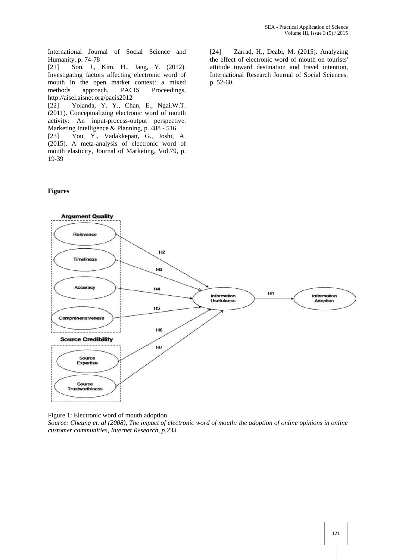International Journal of Social Science and Humanity, p. 74-78

[21] Son, J., Kim, H., Jang, Y. (2012). Investigating factors affecting electronic word of mouth in the open market context: a mixed methods approach, PACIS Proceedings, http://aisel.aisnet.org/pacis2012

[22] Yolanda, Y. Y., Chan, E., Ngai.W.T. (2011). Conceptualizing electronic word of mouth activity: An input-process-output perspective. Marketing Intelligence & Planning, p. 488 - 516

[23] You, Y., Vadakkepatt, G., Joshi, A. (2015). A meta-analysis of electronic word of mouth elasticity, Journal of Marketing, Vol.79, p. 19-39

#### **Figures**

[24] Zarrad, H., Deabi, M. (2015). Analyzing the effect of electronic word of mouth on tourists' attitude toward destination and travel intention, International Research Journal of Social Sciences, p. 52-60.



Figure 1: Electronic word of mouth adoption

*Source: Cheung et. al (2008), The impact of electronic word of mouth: the adoption of online opinions in online customer communities, Internet Research, p.233*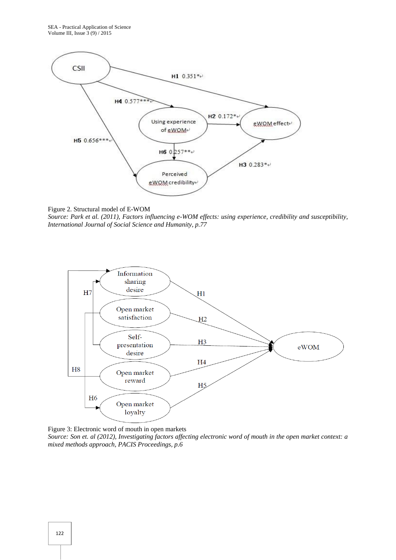

Figure 2. Structural model of E-WOM

*Source: Park et al. (2011), Factors influencing e-WOM effects: using experience, credibility and susceptibility, International Journal of Social Science and Humanity, p.77*



Figure 3: Electronic word of mouth in open markets

*Source: Son et. al (2012), Investigating factors affecting electronic word of mouth in the open market context: a mixed methods approach, PACIS Proceedings, p.6*